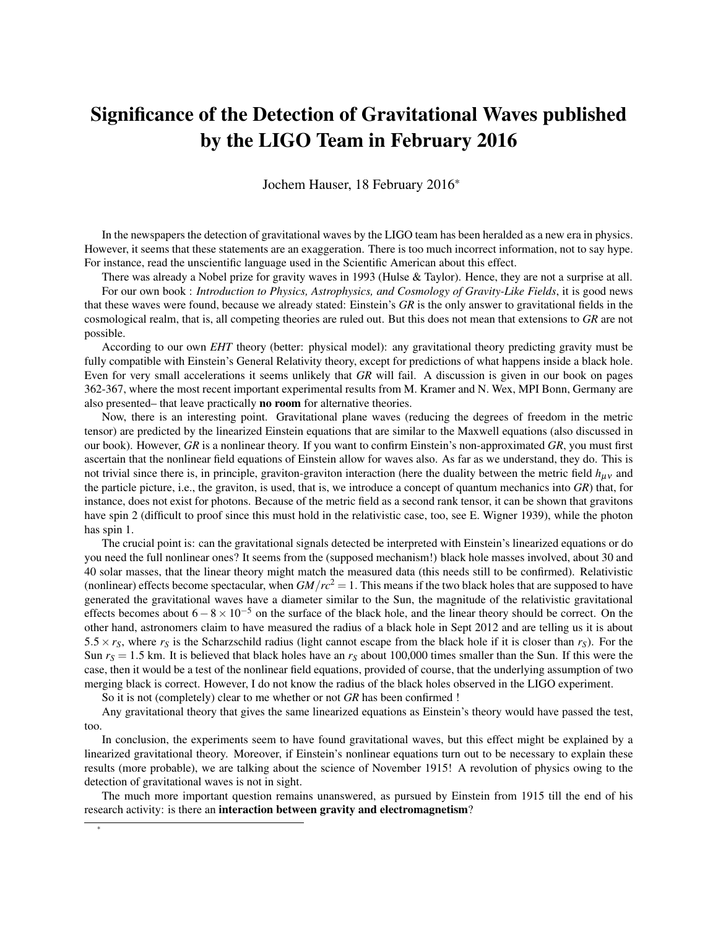## Significance of the Detection of Gravitational Waves published by the LIGO Team in February 2016

Jochem Hauser, 18 February 2016\*

In the newspapers the detection of gravitational waves by the LIGO team has been heralded as a new era in physics. However, it seems that these statements are an exaggeration. There is too much incorrect information, not to say hype. For instance, read the unscientific language used in the Scientific American about this effect.

There was already a Nobel prize for gravity waves in 1993 (Hulse & Taylor). Hence, they are not a surprise at all.

For our own book : *Introduction to Physics, Astrophysics, and Cosmology of Gravity-Like Fields*, it is good news that these waves were found, because we already stated: Einstein's *GR* is the only answer to gravitational fields in the cosmological realm, that is, all competing theories are ruled out. But this does not mean that extensions to *GR* are not possible.

According to our own *EHT* theory (better: physical model): any gravitational theory predicting gravity must be fully compatible with Einstein's General Relativity theory, except for predictions of what happens inside a black hole. Even for very small accelerations it seems unlikely that *GR* will fail. A discussion is given in our book on pages 362-367, where the most recent important experimental results from M. Kramer and N. Wex, MPI Bonn, Germany are also presented– that leave practically no room for alternative theories.

Now, there is an interesting point. Gravitational plane waves (reducing the degrees of freedom in the metric tensor) are predicted by the linearized Einstein equations that are similar to the Maxwell equations (also discussed in our book). However, *GR* is a nonlinear theory. If you want to confirm Einstein's non-approximated *GR*, you must first ascertain that the nonlinear field equations of Einstein allow for waves also. As far as we understand, they do. This is not trivial since there is, in principle, graviton-graviton interaction (here the duality between the metric field  $h_{\mu\nu}$  and the particle picture, i.e., the graviton, is used, that is, we introduce a concept of quantum mechanics into *GR*) that, for instance, does not exist for photons. Because of the metric field as a second rank tensor, it can be shown that gravitons have spin 2 (difficult to proof since this must hold in the relativistic case, too, see E. Wigner 1939), while the photon has spin 1.

The crucial point is: can the gravitational signals detected be interpreted with Einstein's linearized equations or do you need the full nonlinear ones? It seems from the (supposed mechanism!) black hole masses involved, about 30 and 40 solar masses, that the linear theory might match the measured data (this needs still to be confirmed). Relativistic (nonlinear) effects become spectacular, when  $GM/rc^2 = 1$ . This means if the two black holes that are supposed to have generated the gravitational waves have a diameter similar to the Sun, the magnitude of the relativistic gravitational effects becomes about  $6-8\times10^{-5}$  on the surface of the black hole, and the linear theory should be correct. On the other hand, astronomers claim to have measured the radius of a black hole in Sept 2012 and are telling us it is about 5.5  $\times$  *r*<sub>S</sub>, where *r*<sub>S</sub> is the Scharzschild radius (light cannot escape from the black hole if it is closer than *r*<sub>S</sub>). For the Sun  $r_s = 1.5$  km. It is believed that black holes have an  $r_s$  about 100,000 times smaller than the Sun. If this were the case, then it would be a test of the nonlinear field equations, provided of course, that the underlying assumption of two merging black is correct. However, I do not know the radius of the black holes observed in the LIGO experiment.

So it is not (completely) clear to me whether or not *GR* has been confirmed !

\*

Any gravitational theory that gives the same linearized equations as Einstein's theory would have passed the test, too.

In conclusion, the experiments seem to have found gravitational waves, but this effect might be explained by a linearized gravitational theory. Moreover, if Einstein's nonlinear equations turn out to be necessary to explain these results (more probable), we are talking about the science of November 1915! A revolution of physics owing to the detection of gravitational waves is not in sight.

The much more important question remains unanswered, as pursued by Einstein from 1915 till the end of his research activity: is there an interaction between gravity and electromagnetism?